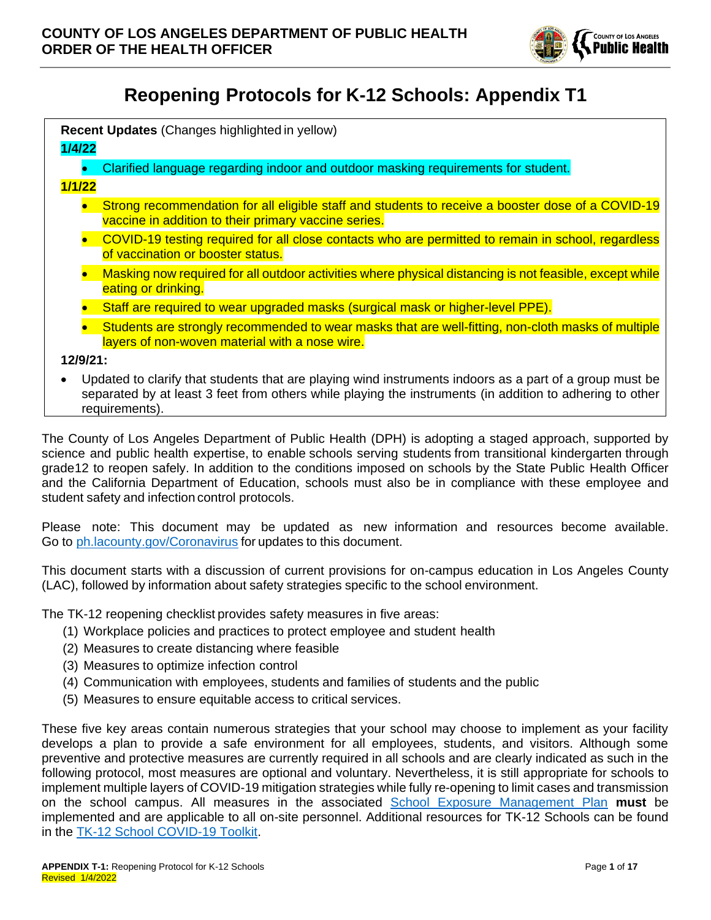

# **Reopening Protocols for K-12 Schools: Appendix T1**

| Recent Updates (Changes highlighted in yellow)                                                                                                                                                                                        |                                                                                                                                                           |  |
|---------------------------------------------------------------------------------------------------------------------------------------------------------------------------------------------------------------------------------------|-----------------------------------------------------------------------------------------------------------------------------------------------------------|--|
| 1/4/22                                                                                                                                                                                                                                |                                                                                                                                                           |  |
|                                                                                                                                                                                                                                       | Clarified language regarding indoor and outdoor masking requirements for student.                                                                         |  |
| 1/1/22                                                                                                                                                                                                                                |                                                                                                                                                           |  |
|                                                                                                                                                                                                                                       | Strong recommendation for all eligible staff and students to receive a booster dose of a COVID-19<br>vaccine in addition to their primary vaccine series. |  |
|                                                                                                                                                                                                                                       | COVID-19 testing required for all close contacts who are permitted to remain in school, regardless<br>of vaccination or booster status.                   |  |
|                                                                                                                                                                                                                                       | Masking now required for all outdoor activities where physical distancing is not feasible, except while<br>eating or drinking.                            |  |
|                                                                                                                                                                                                                                       | Staff are required to wear upgraded masks (surgical mask or higher-level PPE).                                                                            |  |
|                                                                                                                                                                                                                                       | Students are strongly recommended to wear masks that are well-fitting, non-cloth masks of multiple<br>layers of non-woven material with a nose wire.      |  |
| $12/9/21$ :                                                                                                                                                                                                                           |                                                                                                                                                           |  |
| Updated to clarify that students that are playing wind instruments indoors as a part of a group must be<br>separated by at least 3 feet from others while playing the instruments (in addition to adhering to other<br>requirements). |                                                                                                                                                           |  |

The County of Los Angeles Department of Public Health (DPH) is adopting a staged approach, supported by science and public health expertise, to enable schools serving students from transitional kindergarten through grade12 to reopen safely. In addition to the conditions imposed on schools by the State Public Health Officer and the California Department of Education, schools must also be in compliance with these employee and student safety and infection control protocols.

Please note: This document may be updated as new information and resources become available. Go to [ph.lacounty.gov/Coronavirus](http://www.ph.lacounty.gov/media/Coronavirus/) for updates to this document.

This document starts with a discussion of current provisions for on-campus education in Los Angeles County (LAC), followed by information about safety strategies specific to the school environment.

The TK-12 reopening checklist provides safety measures in five areas:

- (1) Workplace policies and practices to protect employee and student health
- (2) Measures to create distancing where feasible
- (3) Measures to optimize infection control
- (4) Communication with employees, students and families of students and the public
- (5) Measures to ensure equitable access to critical services.

These five key areas contain numerous strategies that your school may choose to implement as your facility develops a plan to provide a safe environment for all employees, students, and visitors. Although some preventive and protective measures are currently required in all schools and are clearly indicated as such in the following protocol, most measures are optional and voluntary. Nevertheless, it is still appropriate for schools to implement multiple layers of COVID-19 mitigation strategies while fully re-opening to limit cases and transmission on the school campus. All measures in the associated [School Exposure Management Plan](http://publichealth.lacounty.gov/media/Coronavirus/docs/protocols/ExposureManagementPlan_K12Schools.pdf) **must** be implemented and are applicable to all on-site personnel. Additional resources for TK-12 Schools can be found in the [TK-12 School COVID-19 Toolkit.](http://ph.lacounty.gov/acd/ncorona2019/EducationToolkit/TK12)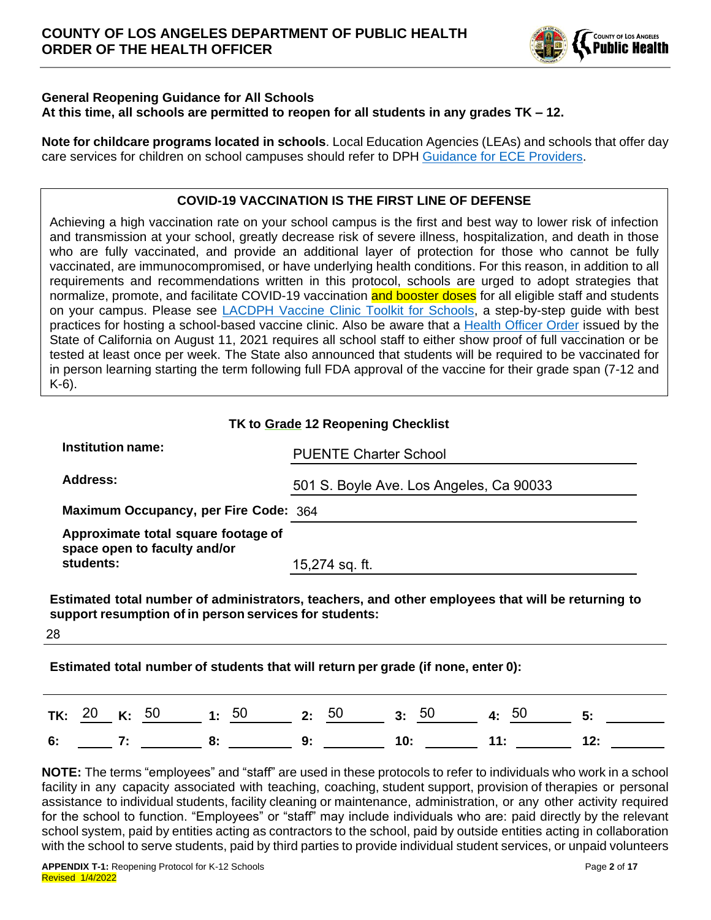

#### **General Reopening Guidance for All Schools At this time, all schools are permitted to reopen for all students in any grades TK – 12.**

**Note for childcare programs located in schools**. Local Education Agencies (LEAs) and schools that offer day care services for children on school campuses should refer to DPH [Guidance for ECE Providers.](http://www.ph.lacounty.gov/media/Coronavirus/docs/education/GuidanceEarlyChildhoodEducation.pdf)

### **COVID-19 VACCINATION IS THE FIRST LINE OF DEFENSE**

Achieving a high vaccination rate on your school campus is the first and best way to lower risk of infection and transmission at your school, greatly decrease risk of severe illness, hospitalization, and death in those who are fully vaccinated, and provide an additional layer of protection for those who cannot be fully vaccinated, are immunocompromised, or have underlying health conditions. For this reason, in addition to all requirements and recommendations written in this protocol, schools are urged to adopt strategies that normalize, promote, and facilitate COVID-19 vaccination and booster doses for all eligible staff and students on your campus. Please see [LACDPH Vaccine Clinic Toolkit for Schools,](http://publichealth.lacounty.gov/acd/ncorona2019/educationtoolkit/schoolvaccination/) a step-by-step guide with best practices for hosting a school-based vaccine clinic. Also be aware that a [Health Officer Order](https://www.cdph.ca.gov/Programs/CID/DCDC/Pages/COVID-19/Order-of-the-State-Public-Health-Officer-Vaccine-Verification-for-Workers-in-Schools.aspx) issued by the State of California on August 11, 2021 requires all school staff to either show proof of full vaccination or be tested at least once per week. The State also announced that students will be required to be vaccinated for in person learning starting the term following full FDA approval of the vaccine for their grade span (7-12 and K-6).

|                                                                                   | TK to Grade 12 Reopening Checklist                                                                |
|-----------------------------------------------------------------------------------|---------------------------------------------------------------------------------------------------|
| <b>Institution name:</b>                                                          | <b>PUENTE Charter School</b>                                                                      |
| Address:                                                                          | 501 S. Boyle Ave. Los Angeles, Ca 90033                                                           |
| Maximum Occupancy, per Fire Code: 364                                             |                                                                                                   |
| Approximate total square footage of<br>space open to faculty and/or<br>students:  | 15,274 sq. ft.                                                                                    |
| support resumption of in person services for students:<br>28                      | Estimated total number of administrators, teachers, and other employees that will be returning to |
| Estimated total number of students that will return per grade (if none, enter 0): |                                                                                                   |
| 50<br>Κ.<br>TK:                                                                   | 5:<br>3:                                                                                          |

**NOTE:** The terms "employees" and "staff" are used in these protocols to refer to individuals who work in a school facility in any capacity associated with teaching, coaching, student support, provision of therapies or personal assistance to individual students, facility cleaning or maintenance, administration, or any other activity required for the school to function. "Employees" or "staff" may include individuals who are: paid directly by the relevant school system, paid by entities acting as contractors to the school, paid by outside entities acting in collaboration with the school to serve students, paid by third parties to provide individual student services, or unpaid volunteers

**6: 7: 8: 9: 10: 11: 12:**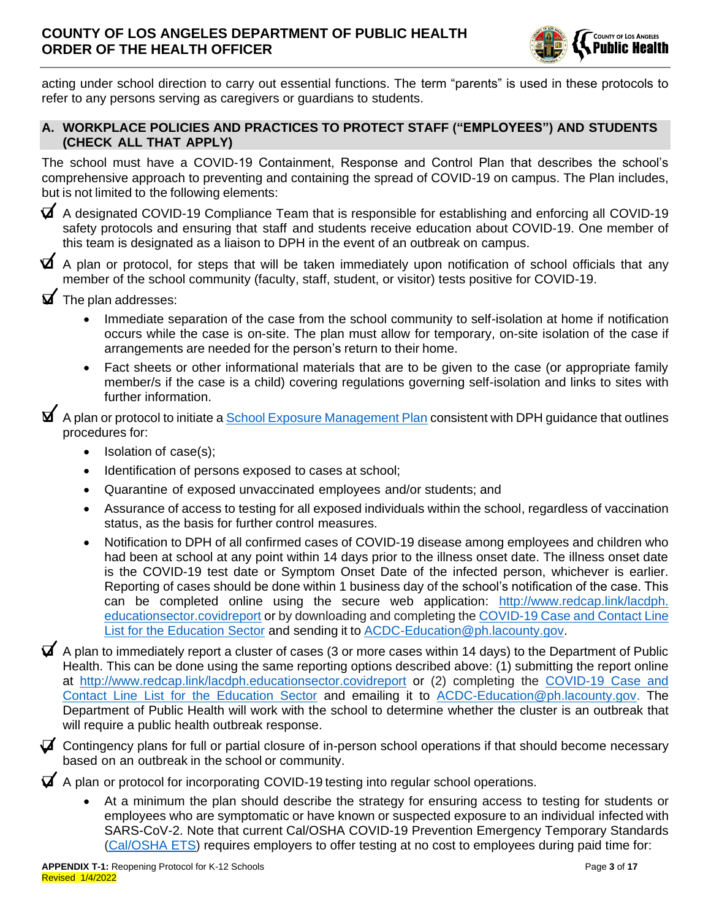

acting under school direction to carry out essential functions. The term "parents" is used in these protocols to refer to any persons serving as caregivers or guardians to students.

### **A. WORKPLACE POLICIES AND PRACTICES TO PROTECT STAFF ("EMPLOYEES") AND STUDENTS (CHECK ALL THAT APPLY)**

The school must have a COVID-19 Containment, Response and Control Plan that describes the school's comprehensive approach to preventing and containing the spread of COVID-19 on campus. The Plan includes, but is not limited to the following elements:

❑ A designated COVID-19 Compliance Team that is responsible for establishing and enforcing all COVID-19 safety protocols and ensuring that staff and students receive education about COVID-19. One member of this team is designated as a liaison to DPH in the event of an outbreak on campus.

 $\blacktriangleright$  A plan or protocol, for steps that will be taken immediately upon notification of school officials that any member of the school community (faculty, staff, student, or visitor) tests positive for COVID-19.

- $\blacktriangleright$  The plan addresses:
	- Immediate separation of the case from the school community to self-isolation at home if notification occurs while the case is on-site. The plan must allow for temporary, on-site isolation of the case if arrangements are needed for the person's return to their home.
	- Fact sheets or other informational materials that are to be given to the case (or appropriate family member/s if the case is a child) covering regulations governing self-isolation and links to sites with further information.

■ A plan or protocol to initiate a [School Exposure Management Plan](http://www.ph.lacounty.gov/media/Coronavirus/docs/protocols/ExposureManagementPlan_K12Schools.pdf) consistent with DPH guidance that outlines procedures for:

- Isolation of case(s);
- Identification of persons exposed to cases at school;
- Quarantine of exposed unvaccinated employees and/or students; and
- Assurance of access to testing for all exposed individuals within the school, regardless of vaccination status, as the basis for further control measures.
- Notification to DPH of all confirmed cases of COVID-19 disease among employees and children who had been at school at any point within 14 days prior to the illness onset date. The illness onset date is the COVID-19 test date or Symptom Onset Date of the infected person, whichever is earlier. Reporting of cases should be done within 1 business day of the school's notification of the case. This can be completed online using the secure web application: http://www.redcap.link/lacdph. [educationsector.covidreport](http://www.redcap.link/lacdph.educationsector.covidreport) or by downloading and completing the [COVID-19 Case and Contact Line](http://publichealth.lacounty.gov/acd/Diseases/EpiForms/COVID_OBlinelist_Education_Sector.xlsm)  [List for the Education Sector](http://publichealth.lacounty.gov/acd/Diseases/EpiForms/COVID_OBlinelist_Education_Sector.xlsm) and sending it to [ACDC-Education@ph.lacounty.gov.](mailto:ACDC-Education@ph.lacounty.gov)
- $\blacktriangledown$  A plan to immediately report a cluster of cases (3 or more cases within 14 days) to the Department of Public Health. This can be done using the same reporting options described above: (1) submitting the report online at <http://www.redcap.link/lacdph.educationsector.covidreport> or (2) completing the [COVID-19 Case and](http://publichealth.lacounty.gov/acd/Diseases/EpiForms/COVID_OBlinelist_Education_Sector.xlsm)  [Contact Line List for the Education Sector](http://publichealth.lacounty.gov/acd/Diseases/EpiForms/COVID_OBlinelist_Education_Sector.xlsm) and emailing it to [ACDC-Education@ph.lacounty.gov.](mailto:ACDC-Education@ph.lacounty.gov) The Department of Public Health will work with the school to determine whether the cluster is an outbreak that will require a public health outbreak response.
- $\blacktriangledown$  Contingency plans for full or partial closure of in-person school operations if that should become necessary based on an outbreak in the school or community.

 $\blacktriangledown$  A plan or protocol for incorporating COVID-19 testing into regular school operations.

• At a minimum the plan should describe the strategy for ensuring access to testing for students or employees who are symptomatic or have known or suspected exposure to an individual infected with SARS-CoV-2. Note that current Cal/OSHA COVID-19 Prevention Emergency Temporary Standards [\(Cal/OSHA ETS\)](https://www.dir.ca.gov/dosh/coronavirus/ETS.html) requires employers to offer testing at no cost to employees during paid time for: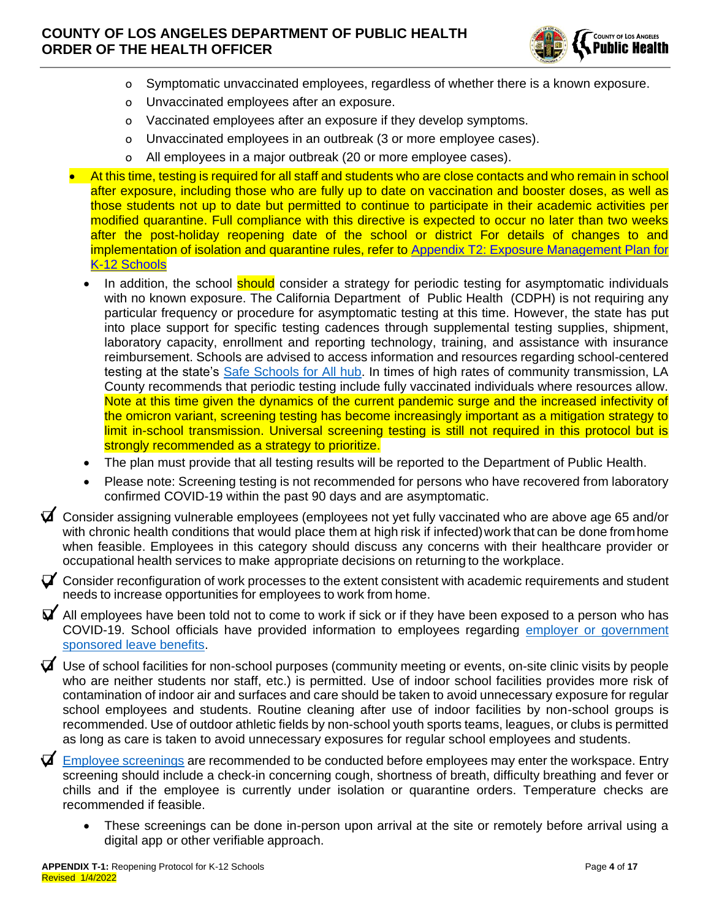

- o Symptomatic unvaccinated employees, regardless of whether there is a known exposure.
- o Unvaccinated employees after an exposure.
- o Vaccinated employees after an exposure if they develop symptoms.
- o Unvaccinated employees in an outbreak (3 or more employee cases).
- o All employees in a major outbreak (20 or more employee cases).
- At this time, testing is required for all staff and students who are close contacts and who remain in school after exposure, including those who are fully up to date on vaccination and booster doses, as well as those students not up to date but permitted to continue to participate in their academic activities per modified quarantine. Full compliance with this directive is expected to occur no later than two weeks after the post-holiday reopening date of the school or district For details of changes to and implementation of isolation and quarantine rules, refer to [Appendix T2: Exposure Management Plan for](http://publichealth.lacounty.gov/media/Coronavirus/docs/protocols/ExposureManagementPlan_K12Schools.pdf)  [K-12 Schools](http://publichealth.lacounty.gov/media/Coronavirus/docs/protocols/ExposureManagementPlan_K12Schools.pdf)
	- In addition, the school should consider a strategy for periodic testing for asymptomatic individuals with no known exposure. The California Department of Public Health (CDPH) is not requiring any particular frequency or procedure for asymptomatic testing at this time. However, the state has put into place support for specific testing cadences through supplemental testing supplies, shipment, laboratory capacity, enrollment and reporting technology, training, and assistance with insurance reimbursement. Schools are advised to access information and resources regarding school-centered testing at the state's Safe [Schools for All hub.](https://schools.covid19.ca.gov/) In times of high rates of community transmission, LA County recommends that periodic testing include fully vaccinated individuals where resources allow. Note at this time given the dynamics of the current pandemic surge and the increased infectivity of the omicron variant, screening testing has become increasingly important as a mitigation strategy to limit in-school transmission. Universal screening testing is still not required in this protocol but is strongly recommended as a strategy to prioritize.
	- The plan must provide that all testing results will be reported to the Department of Public Health.
	- Please note: Screening testing is not recommended for persons who have recovered from laboratory confirmed COVID-19 within the past 90 days and are asymptomatic.
- ❑ Consider assigning vulnerable employees (employees not yet fully vaccinated who are above age 65 and/or with chronic health conditions that would place them at high risk if infected) work that can be done from home when feasible. Employees in this category should discuss any concerns with their healthcare provider or occupational health services to make appropriate decisions on returning to the workplace.
- $\triangledown$  Consider reconfiguration of work processes to the extent consistent with academic requirements and student needs to increase opportunities for employees to work from home.
- $\blacktriangledown$  All employees have been told not to come to work if sick or if they have been exposed to a person who has COVID-19. School officials have provided information to employees regarding employer or [government](https://www.labor.ca.gov/coronavirus2019/#chart)  [sponsored leave benefits.](https://www.labor.ca.gov/coronavirus2019/#chart)
- $\blacktriangleright$  Use of school facilities for non-school purposes (community meeting or events, on-site clinic visits by people who are neither students nor staff, etc.) is permitted. Use of indoor school facilities provides more risk of contamination of indoor air and surfaces and care should be taken to avoid unnecessary exposure for regular school employees and students. Routine cleaning after use of indoor facilities by non-school groups is recommended. Use of outdoor athletic fields by non-school youth sports teams, leagues, or clubs is permitted as long as care is taken to avoid unnecessary exposures for regular school employees and students.
- $\blacktriangledown$  [Employee screenings](http://www.ph.lacounty.gov/media/Coronavirus/docs/business/EntryScreening.pdf) are recommended to be conducted before employees may enter the workspace. Entry screening should include a check-in concerning cough, shortness of breath, difficulty breathing and fever or chills and if the employee is currently under isolation or quarantine orders. Temperature checks are recommended if feasible.
	- These screenings can be done in-person upon arrival at the site or remotely before arrival using a digital app or other verifiable approach.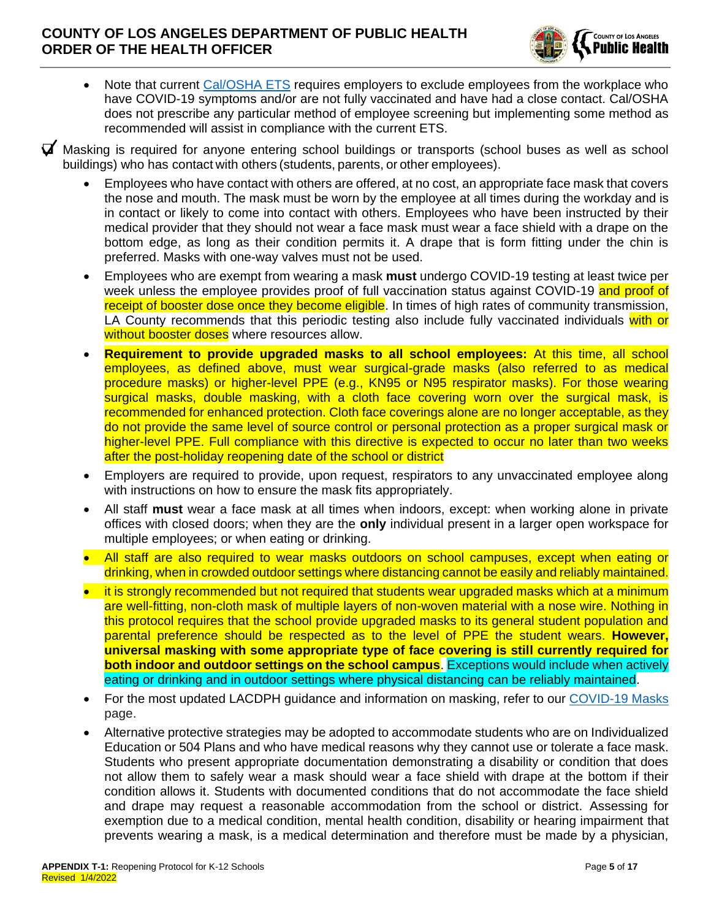

• Note that current [Cal/OSHA ETS](https://www.dir.ca.gov/dosh/coronavirus/ETS.html) requires employers to exclude employees from the workplace who have COVID-19 symptoms and/or are not fully vaccinated and have had a close contact. Cal/OSHA does not prescribe any particular method of employee screening but implementing some method as recommended will assist in compliance with the current ETS.

❑ Masking is required for anyone entering school buildings or transports (school buses as well as school buildings) who has contact with others (students, parents, or other employees).

- Employees who have contact with others are offered, at no cost, an appropriate face mask that covers the nose and mouth. The mask must be worn by the employee at all times during the workday and is in contact or likely to come into contact with others. Employees who have been instructed by their medical provider that they should not wear a face mask must wear a face shield with a drape on the bottom edge, as long as their condition permits it. A drape that is form fitting under the chin is preferred. Masks with one-way valves must not be used.
- Employees who are exempt from wearing a mask **must** undergo COVID-19 testing at least twice per week unless the employee provides proof of full vaccination status against COVID-19 and proof of receipt of booster dose once they become eligible. In times of high rates of community transmission, LA County recommends that this periodic testing also include fully vaccinated individuals with or without booster doses where resources allow.
- **Requirement to provide upgraded masks to all school employees:** At this time, all school employees, as defined above, must wear surgical-grade masks (also referred to as medical procedure masks) or higher-level PPE (e.g., KN95 or N95 respirator masks). For those wearing surgical masks, double masking, with a cloth face covering worn over the surgical mask, is recommended for enhanced protection. Cloth face coverings alone are no longer acceptable, as they do not provide the same level of source control or personal protection as a proper surgical mask or higher-level PPE. Full compliance with this directive is expected to occur no later than two weeks after the post-holiday reopening date of the school or district
- Employers are required to provide, upon request, respirators to any unvaccinated employee along with instructions on how to ensure the mask fits appropriately.
- All staff **must** wear a face mask at all times when indoors, except: when working alone in private offices with closed doors; when they are the **only** individual present in a larger open workspace for multiple employees; or when eating or drinking.
- All staff are also required to wear masks outdoors on school campuses, except when eating or drinking, when in crowded outdoor settings where distancing cannot be easily and reliably maintained.
- it is strongly recommended but not required that students wear upgraded masks which at a minimum are well-fitting, non-cloth mask of multiple layers of non-woven material with a nose wire. Nothing in this protocol requires that the school provide upgraded masks to its general student population and parental preference should be respected as to the level of PPE the student wears. **However, universal masking with some appropriate type of face covering is still currently required for both indoor and outdoor settings on the school campus**. Exceptions would include when actively eating or drinking and in outdoor settings where physical distancing can be reliably maintained.
- For the most updated LACDPH guidance and information on masking, refer to our [COVID-19 Masks](http://publichealth.lacounty.gov/acd/ncorona2019/masks/) page.
- Alternative protective strategies may be adopted to accommodate students who are on Individualized Education or 504 Plans and who have medical reasons why they cannot use or tolerate a face mask. Students who present appropriate documentation demonstrating a disability or condition that does not allow them to safely wear a mask should wear a face shield with drape at the bottom if their condition allows it. Students with documented conditions that do not accommodate the face shield and drape may request a reasonable accommodation from the school or district. Assessing for exemption due to a medical condition, mental health condition, disability or hearing impairment that prevents wearing a mask, is a medical determination and therefore must be made by a physician,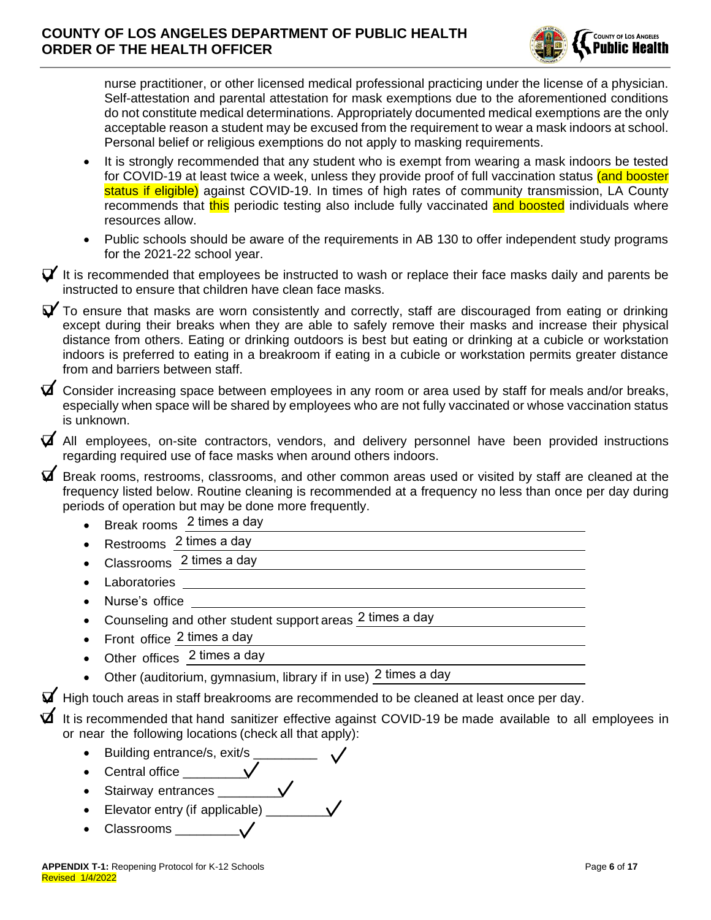

nurse practitioner, or other licensed medical professional practicing under the license of a physician. Self-attestation and parental attestation for mask exemptions due to the aforementioned conditions do not constitute medical determinations. Appropriately documented medical exemptions are the only acceptable reason a student may be excused from the requirement to wear a mask indoors at school. Personal belief or religious exemptions do not apply to masking requirements.

- It is strongly recommended that any student who is exempt from wearing a mask indoors be tested for COVID-19 at least twice a week, unless they provide proof of full vaccination status (and booster status if eligible) against COVID-19. In times of high rates of community transmission, LA County recommends that this periodic testing also include fully vaccinated and boosted individuals where resources allow.
- Public schools should be aware of the requirements in AB 130 to offer independent study programs for the 2021-22 school year.

 $\blacktriangledown$  It is recommended that employees be instructed to wash or replace their face masks daily and parents be instructed to ensure that children have clean face masks.

 $\blacktriangledown$  To ensure that masks are worn consistently and correctly, staff are discouraged from eating or drinking except during their breaks when they are able to safely remove their masks and increase their physical distance from others. Eating or drinking outdoors is best but eating or drinking at a cubicle or workstation indoors is preferred to eating in a breakroom if eating in a cubicle or workstation permits greater distance from and barriers between staff.

 $\blacktriangledown$  Consider increasing space between employees in any room or area used by staff for meals and/or breaks, especially when space will be shared by employees who are not fully vaccinated or whose vaccination status is unknown.

❑ All employees, on-site contractors, vendors, and delivery personnel have been provided instructions regarding required use of face masks when around others indoors.

❑ Break rooms, restrooms, classrooms, and other common areas used or visited by staff are cleaned at the frequency listed below. Routine cleaning is recommended at a frequency no less than once per day during periods of operation but may be done more frequently.

- Break rooms 2 times a day
- Restrooms 2 times a day
- Classrooms 2 times a day
- Laboratories
- Nurse's office
- Counseling and other student support areas 2 times a day
- Front office 2 times a day
- Other offices 2 times a day
- Other (auditorium, gymnasium, library if in use) 2 times a day

❑ High touch areas in staff breakrooms are recommended to be cleaned at least once per day.

It is recommended that hand sanitizer effective against COVID-19 be made available to all employees in or near the following locations (check all that apply):

- Building entrance/s, exit/s
- Central office  $\vee$
- Stairway entrances **v**
- Elevator entry (if applicable) \_\_\_\_\_\_\_\_\_
- Classrooms \_\_\_\_\_\_\_\_\_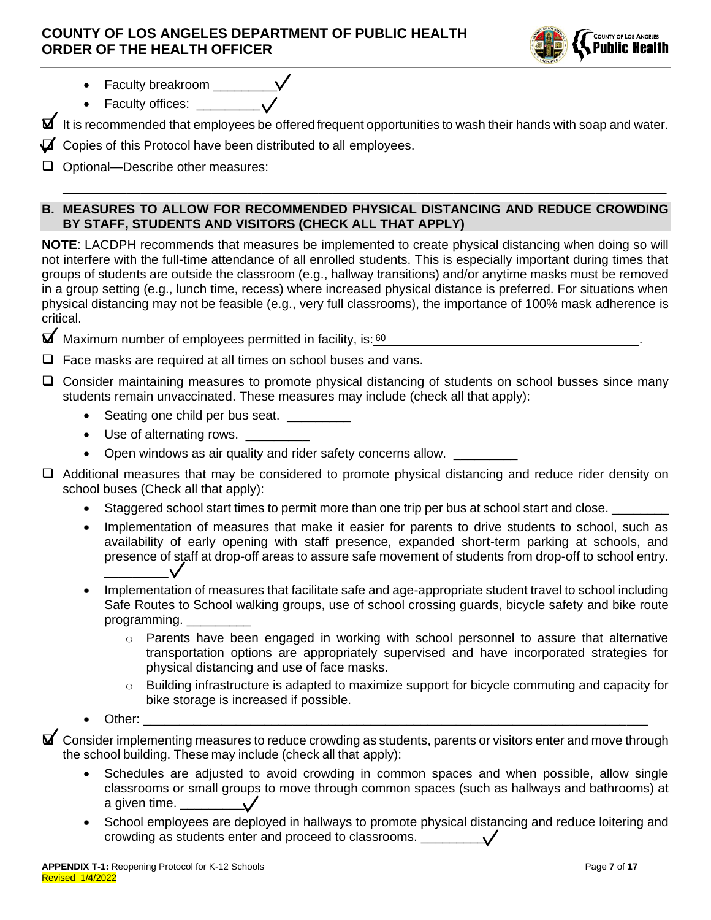

- Faculty breakroom  $\rule{1em}{0.15mm}$   $\sqrt{}$
- Faculty offices:  $\sqrt{}$

 $\blacktriangleright$  It is recommended that employees be offered frequent opportunities to wash their hands with soap and water.

 $\vec{a}$  Copies of this Protocol have been distributed to all employees.

❑ Optional—Describe other measures:

# **B. MEASURES TO ALLOW FOR RECOMMENDED PHYSICAL DISTANCING AND REDUCE CROWDING BY STAFF, STUDENTS AND VISITORS (CHECK ALL THAT APPLY)**

\_\_\_\_\_\_\_\_\_\_\_\_\_\_\_\_\_\_\_\_\_\_\_\_\_\_\_\_\_\_\_\_\_\_\_\_\_\_\_\_\_\_\_\_\_\_\_\_\_\_\_\_\_\_\_\_\_\_\_\_\_\_\_\_\_\_\_\_\_\_\_\_\_\_\_\_\_\_\_\_\_\_\_\_\_

**NOTE**: LACDPH recommends that measures be implemented to create physical distancing when doing so will not interfere with the full-time attendance of all enrolled students. This is especially important during times that groups of students are outside the classroom (e.g., hallway transitions) and/or anytime masks must be removed in a group setting (e.g., lunch time, recess) where increased physical distance is preferred. For situations when physical distancing may not be feasible (e.g., very full classrooms), the importance of 100% mask adherence is critical.

 $\blacksquare$  Maximum number of employees permitted in facility, is:  $60$  . The set of the set of the set of the set of the set of the set of the set of the set of the set of the set of the set of the set of the set of the set o

❑ Face masks are required at all times on school buses and vans.

❑ Consider maintaining measures to promote physical distancing of students on school busses since many students remain unvaccinated. These measures may include (check all that apply):

- Seating one child per bus seat.
- Use of alternating rows.
- Open windows as air quality and rider safety concerns allow.

❑ Additional measures that may be considered to promote physical distancing and reduce rider density on school buses (Check all that apply):

- Staggered school start times to permit more than one trip per bus at school start and close.
- Implementation of measures that make it easier for parents to drive students to school, such as availability of early opening with staff presence, expanded short-term parking at schools, and presence of staff at drop-off areas to assure safe movement of students from drop-off to school entry. \_\_\_\_\_\_\_\_\_
- Implementation of measures that facilitate safe and age-appropriate student travel to school including Safe Routes to School walking groups, use of school crossing guards, bicycle safety and bike route programming.
	- $\circ$  Parents have been engaged in working with school personnel to assure that alternative transportation options are appropriately supervised and have incorporated strategies for physical distancing and use of face masks.
	- $\circ$  Building infrastructure is adapted to maximize support for bicycle commuting and capacity for bike storage is increased if possible.
- Other: \_\_\_\_\_\_\_\_\_\_\_\_\_\_\_\_\_\_\_\_\_\_\_\_\_\_\_\_\_\_\_\_\_\_\_\_\_\_\_\_\_\_\_\_\_\_\_\_\_\_\_\_\_\_\_\_\_\_\_\_\_\_\_\_\_\_\_\_\_\_\_

 $\blacktriangledown$  Consider implementing measures to reduce crowding as students, parents or visitors enter and move through the school building. These may include (check all that apply):

- Schedules are adjusted to avoid crowding in common spaces and when possible, allow single classrooms or small groups to move through common spaces (such as hallways and bathrooms) at a given time.
- School employees are deployed in hallways to promote physical distancing and reduce loitering and crowding as students enter and proceed to classrooms. \_\_\_\_\_\_\_\_\_\_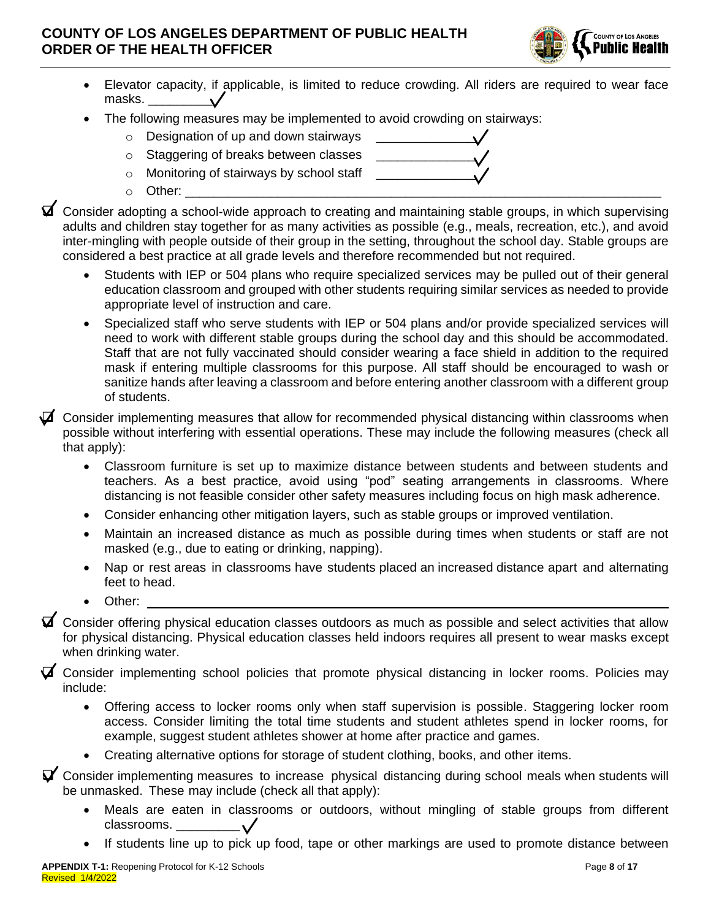

- Elevator capacity, if applicable, is limited to reduce crowding. All riders are required to wear face masks. \_\_\_\_\_\_\_\_\_
- The following measures may be implemented to avoid crowding on stairways:
	- $\circ$  Designation of up and down stairways
	- $\circ$  Staggering of breaks between classes
	- $\circ$  Monitoring of stairways by school staff
	- $\circ$  Other:

❑ Consider adopting a school-wide approach to creating and maintaining stable groups, in which supervising adults and children stay together for as many activities as possible (e.g., meals, recreation, etc.), and avoid inter-mingling with people outside of their group in the setting, throughout the school day. Stable groups are considered a best practice at all grade levels and therefore recommended but not required.

- Students with IEP or 504 plans who require specialized services may be pulled out of their general education classroom and grouped with other students requiring similar services as needed to provide appropriate level of instruction and care.
- Specialized staff who serve students with IEP or 504 plans and/or provide specialized services will need to work with different stable groups during the school day and this should be accommodated. Staff that are not fully vaccinated should consider wearing a face shield in addition to the required mask if entering multiple classrooms for this purpose. All staff should be encouraged to wash or sanitize hands after leaving a classroom and before entering another classroom with a different group of students.

 $\blacktriangleright$  Consider implementing measures that allow for recommended physical distancing within classrooms when possible without interfering with essential operations. These may include the following measures (check all that apply):

- Classroom furniture is set up to maximize distance between students and between students and teachers. As a best practice, avoid using "pod" seating arrangements in classrooms. Where distancing is not feasible consider other safety measures including focus on high mask adherence.
- Consider enhancing other mitigation layers, such as stable groups or improved ventilation.
- Maintain an increased distance as much as possible during times when students or staff are not masked (e.g., due to eating or drinking, napping).
- Nap or rest areas in classrooms have students placed an increased distance apart and alternating feet to head.
- Other:

❑ Consider offering physical education classes outdoors as much as possible and select activities that allow for physical distancing. Physical education classes held indoors requires all present to wear masks except when drinking water.

 $\blacktriangledown$  Consider implementing school policies that promote physical distancing in locker rooms. Policies may include:

- Offering access to locker rooms only when staff supervision is possible. Staggering locker room access. Consider limiting the total time students and student athletes spend in locker rooms, for example, suggest student athletes shower at home after practice and games.
- Creating alternative options for storage of student clothing, books, and other items.

 $\blacktriangledown$  Consider implementing measures to increase physical distancing during school meals when students will be unmasked. These may include (check all that apply):

- Meals are eaten in classrooms or outdoors, without mingling of stable groups from different classrooms. \_\_\_\_\_\_\_\_\_
- If students line up to pick up food, tape or other markings are used to promote distance between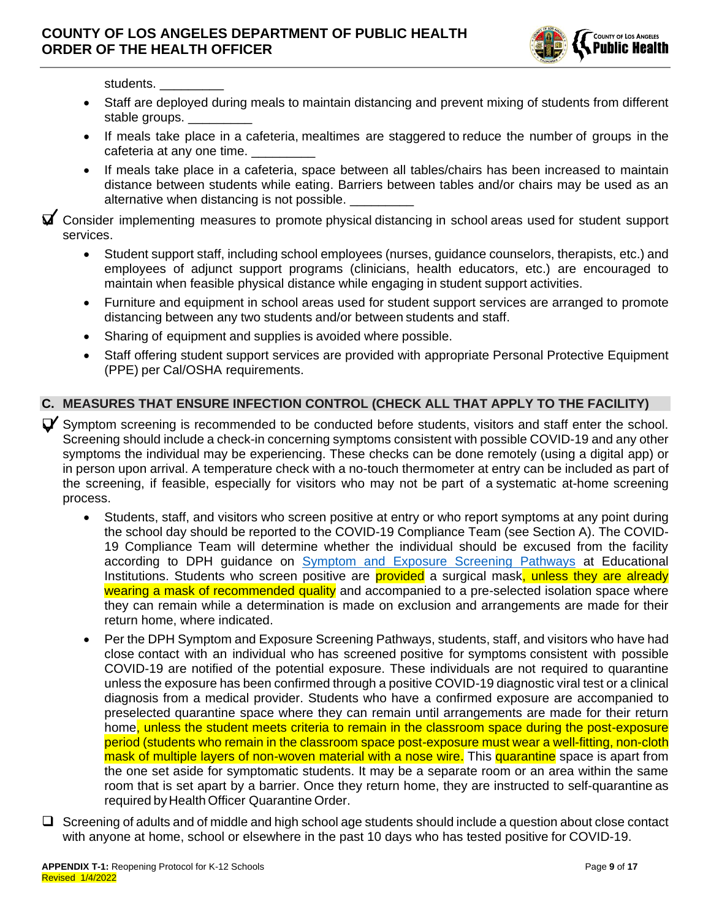

students.

- Staff are deployed during meals to maintain distancing and prevent mixing of students from different stable groups.
- If meals take place in a cafeteria, mealtimes are staggered to reduce the number of groups in the cafeteria at any one time.
- If meals take place in a cafeteria, space between all tables/chairs has been increased to maintain distance between students while eating. Barriers between tables and/or chairs may be used as an alternative when distancing is not possible.

❑ Consider implementing measures to promote physical distancing in school areas used for student support services.

- Student support staff, including school employees (nurses, guidance counselors, therapists, etc.) and employees of adjunct support programs (clinicians, health educators, etc.) are encouraged to maintain when feasible physical distance while engaging in student support activities.
- Furniture and equipment in school areas used for student support services are arranged to promote distancing between any two students and/or between students and staff.
- Sharing of equipment and supplies is avoided where possible.
- Staff offering student support services are provided with appropriate Personal Protective Equipment (PPE) per Cal/OSHA requirements.

### **C. MEASURES THAT ENSURE INFECTION CONTROL (CHECK ALL THAT APPLY TO THE FACILITY)**

- $\blacktriangledown$  Symptom screening is recommended to be conducted before students, visitors and staff enter the school. Screening should include a check-in concerning symptoms consistent with possible COVID-19 and any other symptoms the individual may be experiencing. These checks can be done remotely (using a digital app) or in person upon arrival. A temperature check with a no-touch thermometer at entry can be included as part of the screening, if feasible, especially for visitors who may not be part of a systematic at-home screening process.
	- Students, staff, and visitors who screen positive at entry or who report symptoms at any point during the school day should be reported to the COVID-19 Compliance Team (see Section A). The COVID-19 Compliance Team will determine whether the individual should be excused from the facility according to DPH guidance on [Symptom and Exposure Screening Pathways](http://www.ph.lacounty.gov/media/Coronavirus/docs/education/ScreeningEducationSettings.pdf) at Educational Institutions. Students who screen positive are **provided** a surgical mask, unless they are already wearing a mask of recommended quality and accompanied to a pre-selected isolation space where they can remain while a determination is made on exclusion and arrangements are made for their return home, where indicated.
	- Per the DPH Symptom and Exposure Screening Pathways, students, staff, and visitors who have had close contact with an individual who has screened positive for symptoms consistent with possible COVID-19 are notified of the potential exposure. These individuals are not required to quarantine unless the exposure has been confirmed through a positive COVID-19 diagnostic viral test or a clinical diagnosis from a medical provider. Students who have a confirmed exposure are accompanied to preselected quarantine space where they can remain until arrangements are made for their return home, unless the student meets criteria to remain in the classroom space during the post-exposure period (students who remain in the classroom space post-exposure must wear a well-fitting, non-cloth mask of multiple layers of non-woven material with a nose wire. This quarantine space is apart from the one set aside for symptomatic students. It may be a separate room or an area within the same room that is set apart by a barrier. Once they return home, they are instructed to self-quarantine as required by Health Officer Quarantine Order.
- $\Box$  Screening of adults and of middle and high school age students should include a question about close contact with anyone at home, school or elsewhere in the past 10 days who has tested positive for COVID-19.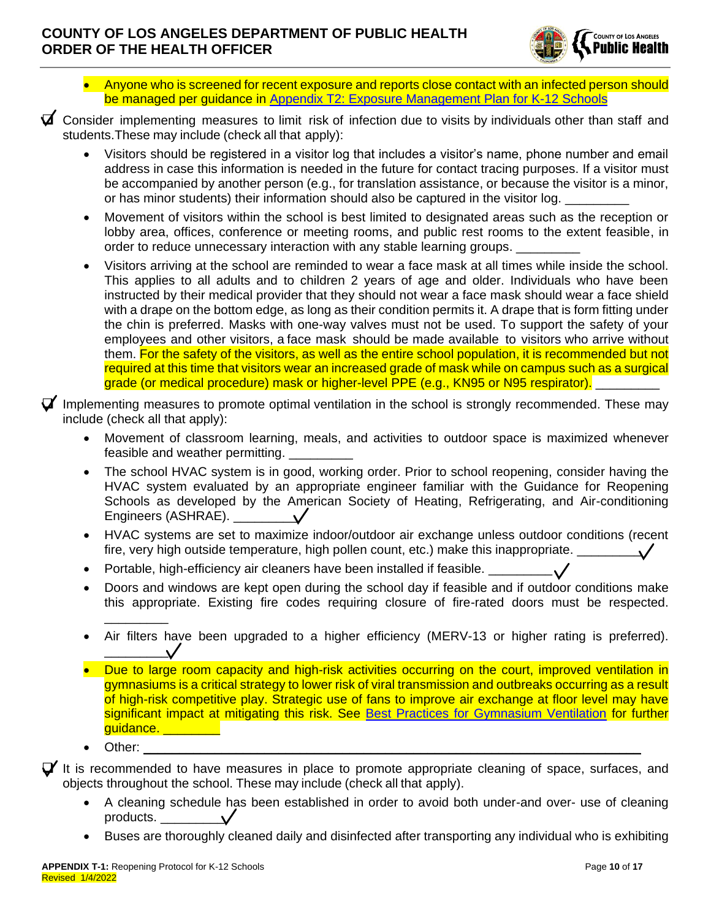

- Anyone who is screened for recent exposure and reports close contact with an infected person should be managed per guidance in [Appendix T2: Exposure Management Plan for K-12 Schools](http://publichealth.lacounty.gov/media/Coronavirus/docs/protocols/ExposureManagementPlan_K12Schools.pdf)
- $\vec{a}$  Consider implementing measures to limit risk of infection due to visits by individuals other than staff and students.These may include (check all that apply):
	- Visitors should be registered in a visitor log that includes a visitor's name, phone number and email address in case this information is needed in the future for contact tracing purposes. If a visitor must be accompanied by another person (e.g., for translation assistance, or because the visitor is a minor, or has minor students) their information should also be captured in the visitor log.
	- Movement of visitors within the school is best limited to designated areas such as the reception or lobby area, offices, conference or meeting rooms, and public rest rooms to the extent feasible, in order to reduce unnecessary interaction with any stable learning groups.
	- Visitors arriving at the school are reminded to wear a face mask at all times while inside the school. This applies to all adults and to children 2 years of age and older. Individuals who have been instructed by their medical provider that they should not wear a face mask should wear a face shield with a drape on the bottom edge, as long as their condition permits it. A drape that is form fitting under the chin is preferred. Masks with one-way valves must not be used. To support the safety of your employees and other visitors, a face mask should be made available to visitors who arrive without them. For the safety of the visitors, as well as the entire school population, it is recommended but not required at this time that visitors wear an increased grade of mask while on campus such as a surgical grade (or medical procedure) mask or higher-level PPE (e.g., KN95 or N95 respirator).
- $\blacktriangledown$  Implementing measures to promote optimal ventilation in the school is strongly recommended. These may include (check all that apply):
	- Movement of classroom learning, meals, and activities to outdoor space is maximized whenever feasible and weather permitting.
	- The school HVAC system is in good, working order. Prior to school reopening, consider having the HVAC system evaluated by an appropriate engineer familiar with the Guidance for Reopening Schools as developed by the American Society of Heating, Refrigerating, and Air-conditioning Engineers (ASHRAE). \_\_\_\_\_\_\_\_\_
	- HVAC systems are set to maximize indoor/outdoor air exchange unless outdoor conditions (recent fire, very high outside temperature, high pollen count, etc.) make this inappropriate.  $\frac{1}{2}$
	- Portable, high-efficiency air cleaners have been installed if feasible. \_\_\_\_\_\_\_\_
	- Doors and windows are kept open during the school day if feasible and if outdoor conditions make this appropriate. Existing fire codes requiring closure of fire-rated doors must be respected. \_\_\_\_\_\_\_\_\_
	- Air filters have been upgraded to a higher efficiency (MERV-13 or higher rating is preferred). \_\_\_\_\_\_\_\_\_
	- Due to large room capacity and high-risk activities occurring on the court, improved ventilation in gymnasiums is a critical strategy to lower risk of viral transmission and outbreaks occurring as a result of high-risk competitive play. Strategic use of fans to improve air exchange at floor level may have significant impact at mitigating this risk. See [Best Practices for Gymnasium Ventilation](http://publichealth.lacounty.gov/acd/ncorona2019/docs/GymVentilationGuidance.pdf) for further guidance. \_\_\_\_\_\_\_\_\_
	- Other:

 $\Box'$  It is recommended to have measures in place to promote appropriate cleaning of space, surfaces, and objects throughout the school. These may include (check all that apply).

- A cleaning schedule has been established in order to avoid both under-and over- use of cleaning products.  $\vee$
- Buses are thoroughly cleaned daily and disinfected after transporting any individual who is exhibiting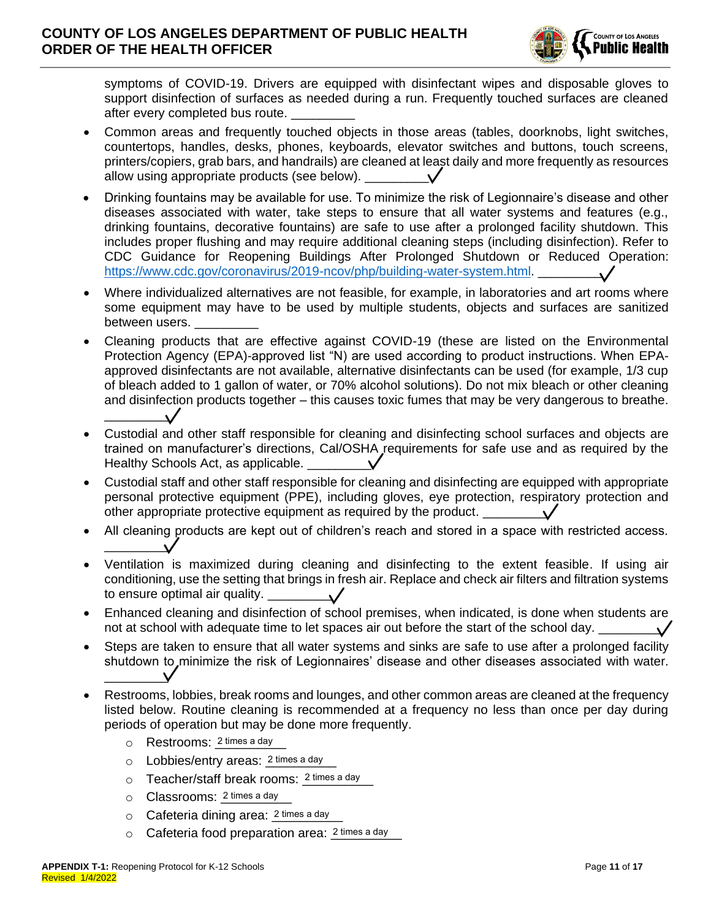

symptoms of COVID-19. Drivers are equipped with disinfectant wipes and disposable gloves to support disinfection of surfaces as needed during a run. Frequently touched surfaces are cleaned after every completed bus route.

- Common areas and frequently touched objects in those areas (tables, doorknobs, light switches, countertops, handles, desks, phones, keyboards, elevator switches and buttons, touch screens, printers/copiers, grab bars, and handrails) are cleaned at least daily and more frequently as resources allow using appropriate products (see below).
- Drinking fountains may be available for use. To minimize the risk of Legionnaire's disease and other diseases associated with water, take steps to ensure that all water systems and features (e.g., drinking fountains, decorative fountains) are safe to use after a prolonged facility shutdown. This includes proper flushing and may require additional cleaning steps (including disinfection). Refer to CDC Guidance for Reopening Buildings After Prolonged Shutdown or Reduced Operation: [https://www.cdc.gov/coronavirus/2019-ncov/php/building-water-system.html.](https://www.cdc.gov/coronavirus/2019-ncov/php/building-water-system.html)
- Where individualized alternatives are not feasible, for example, in laboratories and art rooms where some equipment may have to be used by multiple students, objects and surfaces are sanitized between users.
- Cleaning products that are effective against COVID-19 (these are listed on the Environmental Protection Agency (EPA)-approved list "N) are used according to product instructions. When EPAapproved disinfectants are not available, alternative disinfectants can be used (for example, 1/3 cup of bleach added to 1 gallon of water, or 70% alcohol solutions). Do not mix bleach or other cleaning and disinfection products together – this causes toxic fumes that may be very dangerous to breathe.  $\overline{\phantom{a}}$
- Custodial and other staff responsible for cleaning and disinfecting school surfaces and objects are trained on manufacturer's directions, Cal/OSHA requirements for safe use and as required by the Healthy Schools Act, as applicable.
- Custodial staff and other staff responsible for cleaning and disinfecting are equipped with appropriate personal protective equipment (PPE), including gloves, eye protection, respiratory protection and other appropriate protective equipment as required by the product.
- All cleaning products are kept out of children's reach and stored in a space with restricted access.  $\overline{\phantom{a}}$
- Ventilation is maximized during cleaning and disinfecting to the extent feasible. If using air conditioning, use the setting that brings in fresh air. Replace and check air filters and filtration systems to ensure optimal air quality.
- Enhanced cleaning and disinfection of school premises, when indicated, is done when students are not at school with adequate time to let spaces air out before the start of the school day.
- Steps are taken to ensure that all water systems and sinks are safe to use after a prolonged facility shutdown to minimize the risk of Legionnaires' disease and other diseases associated with water.  $\overline{\phantom{a}}$
- Restrooms, lobbies, break rooms and lounges, and other common areas are cleaned at the frequency listed below. Routine cleaning is recommended at a frequency no less than once per day during periods of operation but may be done more frequently.
	- o Restrooms: 2 times a day
	- o Lobbies/entry areas: 2 times a day
	- o Teacher/staff break rooms: 2 times a day
	- o Classrooms: 2 times a day
	- o Cafeteria dining area: 2 times a day
	- $\circ$  Cafeteria food preparation area:  $2 \text{ times a day}$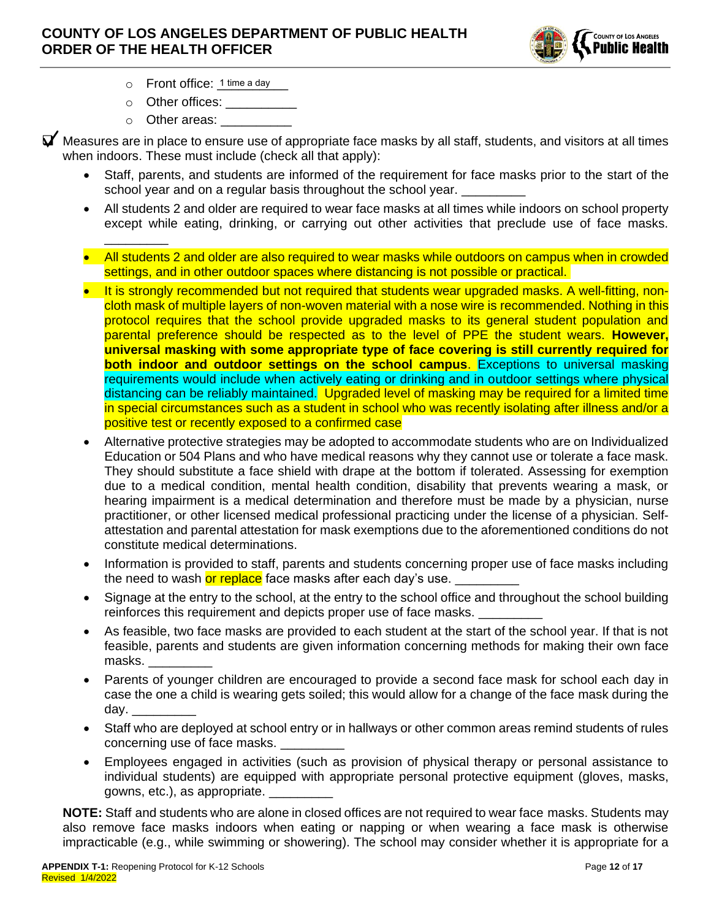

- o Front office: 1 time a day
- $\circ$  Other offices:

\_\_\_\_\_\_\_\_\_

 $\circ$  Other areas:

 $\blacktriangledown$  Measures are in place to ensure use of appropriate face masks by all staff, students, and visitors at all times when indoors. These must include (check all that apply):

- Staff, parents, and students are informed of the requirement for face masks prior to the start of the school year and on a regular basis throughout the school year.
- All students 2 and older are required to wear face masks at all times while indoors on school property except while eating, drinking, or carrying out other activities that preclude use of face masks.
- All students 2 and older are also required to wear masks while outdoors on campus when in crowded settings, and in other outdoor spaces where distancing is not possible or practical.
- It is strongly recommended but not required that students wear upgraded masks. A well-fitting, noncloth mask of multiple layers of non-woven material with a nose wire is recommended. Nothing in this protocol requires that the school provide upgraded masks to its general student population and parental preference should be respected as to the level of PPE the student wears. **However, universal masking with some appropriate type of face covering is still currently required for both indoor and outdoor settings on the school campus.** Exceptions to universal masking requirements would include when actively eating or drinking and in outdoor settings where physical distancing can be reliably maintained. Upgraded level of masking may be required for a limited time in special circumstances such as a student in school who was recently isolating after illness and/or a positive test or recently exposed to a confirmed case
- Alternative protective strategies may be adopted to accommodate students who are on Individualized Education or 504 Plans and who have medical reasons why they cannot use or tolerate a face mask. They should substitute a face shield with drape at the bottom if tolerated. Assessing for exemption due to a medical condition, mental health condition, disability that prevents wearing a mask, or hearing impairment is a medical determination and therefore must be made by a physician, nurse practitioner, or other licensed medical professional practicing under the license of a physician. Selfattestation and parental attestation for mask exemptions due to the aforementioned conditions do not constitute medical determinations.
- Information is provided to staff, parents and students concerning proper use of face masks including the need to wash <mark>or replace</mark> face masks after each day's use.
- Signage at the entry to the school, at the entry to the school office and throughout the school building reinforces this requirement and depicts proper use of face masks.
- As feasible, two face masks are provided to each student at the start of the school year. If that is not feasible, parents and students are given information concerning methods for making their own face masks. \_\_\_\_\_\_\_\_\_
- Parents of younger children are encouraged to provide a second face mask for school each day in case the one a child is wearing gets soiled; this would allow for a change of the face mask during the day.  $\overline{\phantom{a}}$
- Staff who are deployed at school entry or in hallways or other common areas remind students of rules concerning use of face masks. \_\_\_\_\_\_\_\_\_
- Employees engaged in activities (such as provision of physical therapy or personal assistance to individual students) are equipped with appropriate personal protective equipment (gloves, masks, gowns, etc.), as appropriate. \_\_\_\_\_\_\_\_\_

**NOTE:** Staff and students who are alone in closed offices are not required to wear face masks. Students may also remove face masks indoors when eating or napping or when wearing a face mask is otherwise impracticable (e.g., while swimming or showering). The school may consider whether it is appropriate for a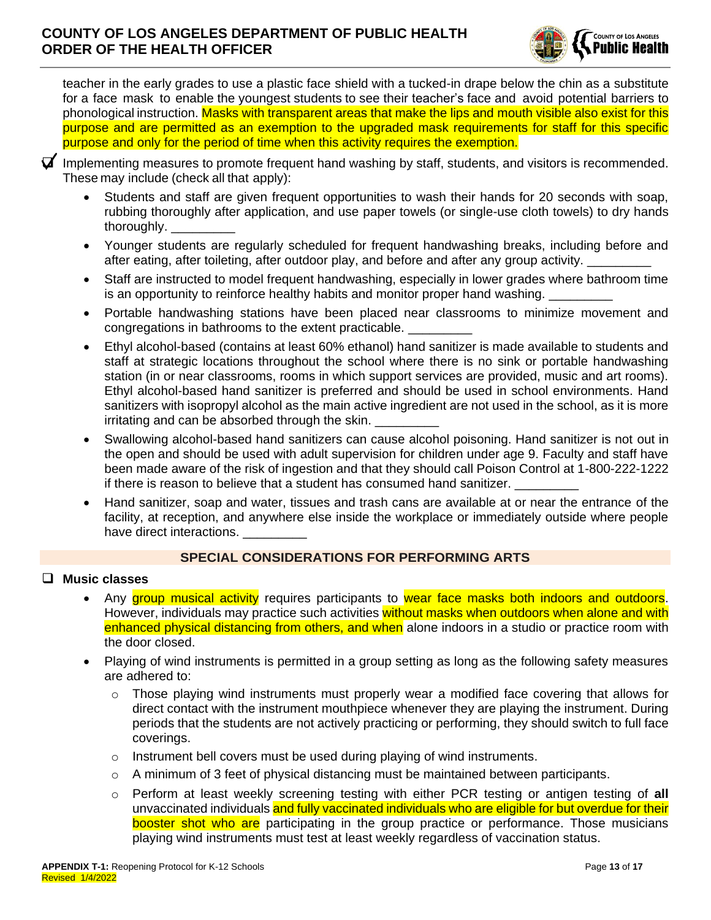

teacher in the early grades to use a plastic face shield with a tucked-in drape below the chin as a substitute for a face mask to enable the youngest students to see their teacher's face and avoid potential barriers to phonological instruction. Masks with transparent areas that make the lips and mouth visible also exist for this purpose and are permitted as an exemption to the upgraded mask requirements for staff for this specific purpose and only for the period of time when this activity requires the exemption.



 $\blacktriangledown$  Implementing measures to promote frequent hand washing by staff, students, and visitors is recommended. These may include (check all that apply):

- Students and staff are given frequent opportunities to wash their hands for 20 seconds with soap, rubbing thoroughly after application, and use paper towels (or single-use cloth towels) to dry hands thoroughly. \_\_\_\_\_\_\_\_\_
- Younger students are regularly scheduled for frequent handwashing breaks, including before and after eating, after toileting, after outdoor play, and before and after any group activity.
- Staff are instructed to model frequent handwashing, especially in lower grades where bathroom time is an opportunity to reinforce healthy habits and monitor proper hand washing.
- Portable handwashing stations have been placed near classrooms to minimize movement and congregations in bathrooms to the extent practicable.
- Ethyl alcohol-based (contains at least 60% ethanol) hand sanitizer is made available to students and staff at strategic locations throughout the school where there is no sink or portable handwashing station (in or near classrooms, rooms in which support services are provided, music and art rooms). Ethyl alcohol-based hand sanitizer is preferred and should be used in school environments. Hand sanitizers with isopropyl alcohol as the main active ingredient are not used in the school, as it is more irritating and can be absorbed through the skin.
- Swallowing alcohol-based hand sanitizers can cause alcohol poisoning. Hand sanitizer is not out in the open and should be used with adult supervision for children under age 9. Faculty and staff have been made aware of the risk of ingestion and that they should call Poison Control at 1-800-222-1222 if there is reason to believe that a student has consumed hand sanitizer.
- Hand sanitizer, soap and water, tissues and trash cans are available at or near the entrance of the facility, at reception, and anywhere else inside the workplace or immediately outside where people have direct interactions.

### **SPECIAL CONSIDERATIONS FOR PERFORMING ARTS**

#### ❑ **Music classes**

- Any group musical activity requires participants to wear face masks both indoors and outdoors. However, individuals may practice such activities without masks when outdoors when alone and with enhanced physical distancing from others, and when alone indoors in a studio or practice room with the door closed.
- Playing of wind instruments is permitted in a group setting as long as the following safety measures are adhered to:
	- $\circ$  Those playing wind instruments must properly wear a modified face covering that allows for direct contact with the instrument mouthpiece whenever they are playing the instrument. During periods that the students are not actively practicing or performing, they should switch to full face coverings.
	- $\circ$  Instrument bell covers must be used during playing of wind instruments.
	- $\circ$  A minimum of 3 feet of physical distancing must be maintained between participants.
	- o Perform at least weekly screening testing with either PCR testing or antigen testing of **all** unvaccinated individuals and fully vaccinated individuals who are eligible for but overdue for their booster shot who are participating in the group practice or performance. Those musicians playing wind instruments must test at least weekly regardless of vaccination status.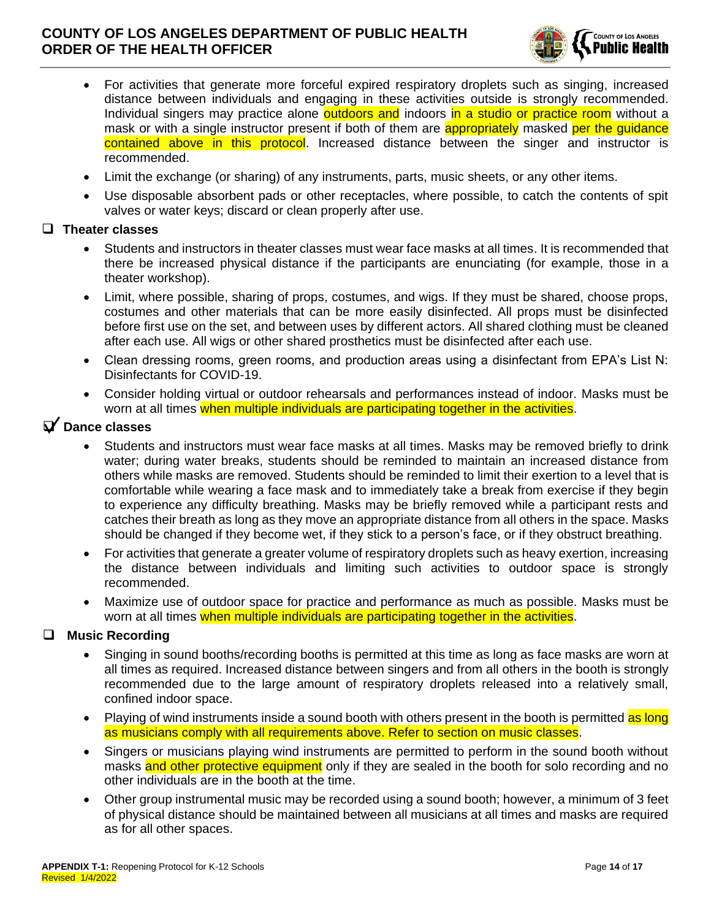

- For activities that generate more forceful expired respiratory droplets such as singing, increased distance between individuals and engaging in these activities outside is strongly recommended. Individual singers may practice alone **outdoors and** indoors in a studio or practice room without a mask or with a single instructor present if both of them are **appropriately** masked per the quidance contained above in this protocol. Increased distance between the singer and instructor is recommended.
- Limit the exchange (or sharing) of any instruments, parts, music sheets, or any other items.
- Use disposable absorbent pads or other receptacles, where possible, to catch the contents of spit valves or water keys; discard or clean properly after use.

#### ❑ **Theater classes**

- Students and instructors in theater classes must wear face masks at all times. It is recommended that there be increased physical distance if the participants are enunciating (for example, those in a theater workshop).
- Limit, where possible, sharing of props, costumes, and wigs. If they must be shared, choose props, costumes and other materials that can be more easily disinfected. All props must be disinfected before first use on the set, and between uses by different actors. All shared clothing must be cleaned after each use. All wigs or other shared prosthetics must be disinfected after each use.
- Clean dressing rooms, green rooms, and production areas using a disinfectant from EPA's List N: Disinfectants for COVID-19.
- Consider holding virtual or outdoor rehearsals and performances instead of indoor. Masks must be worn at all times when multiple individuals are participating together in the activities.

# ❑ **Dance classes**

- Students and instructors must wear face masks at all times. Masks may be removed briefly to drink water; during water breaks, students should be reminded to maintain an increased distance from others while masks are removed. Students should be reminded to limit their exertion to a level that is comfortable while wearing a face mask and to immediately take a break from exercise if they begin to experience any difficulty breathing. Masks may be briefly removed while a participant rests and catches their breath as long as they move an appropriate distance from all others in the space. Masks should be changed if they become wet, if they stick to a person's face, or if they obstruct breathing.
- For activities that generate a greater volume of respiratory droplets such as heavy exertion, increasing the distance between individuals and limiting such activities to outdoor space is strongly recommended.
- Maximize use of outdoor space for practice and performance as much as possible. Masks must be worn at all times when multiple individuals are participating together in the activities.

### ❑ **Music Recording**

- Singing in sound booths/recording booths is permitted at this time as long as face masks are worn at all times as required. Increased distance between singers and from all others in the booth is strongly recommended due to the large amount of respiratory droplets released into a relatively small, confined indoor space.
- Playing of wind instruments inside a sound booth with others present in the booth is permitted as long as musicians comply with all requirements above. Refer to section on music classes.
- Singers or musicians playing wind instruments are permitted to perform in the sound booth without masks and other protective equipment only if they are sealed in the booth for solo recording and no other individuals are in the booth at the time.
- Other group instrumental music may be recorded using a sound booth; however, a minimum of 3 feet of physical distance should be maintained between all musicians at all times and masks are required as for all other spaces.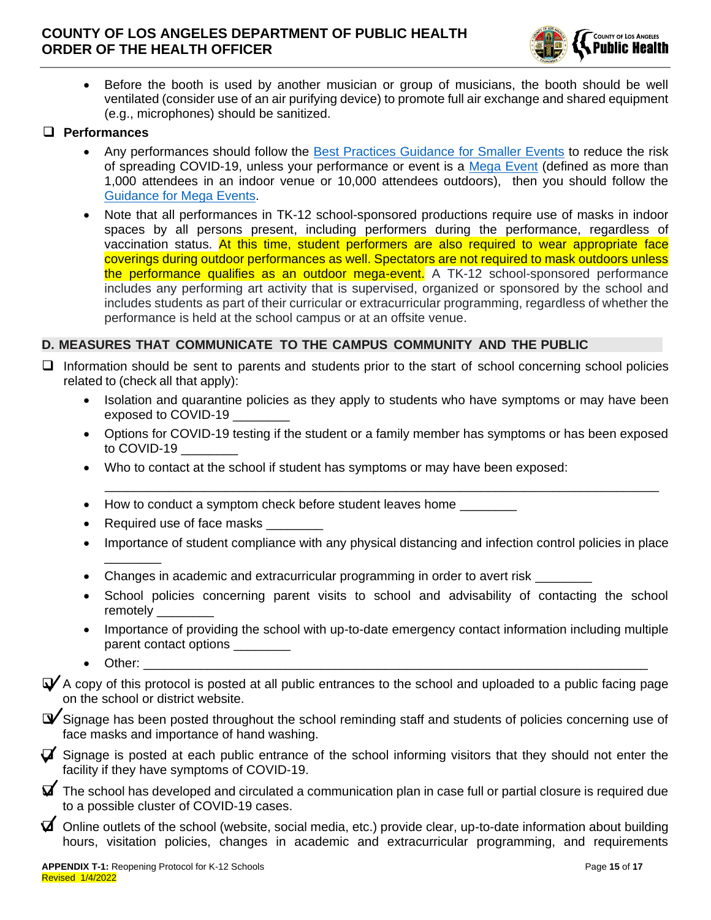

• Before the booth is used by another musician or group of musicians, the booth should be well ventilated (consider use of an air purifying device) to promote full air exchange and shared equipment (e.g., microphones) should be sanitized.

#### ❑ **Performances**

- Any performances should follow the [Best Practices Guidance for Smaller Events](http://publichealth.lacounty.gov/acd/ncorona2019/bestpractices/venues/) to reduce the risk of spreading COVID-19, unless your performance or event is a [Mega Event](http://www.publichealth.lacounty.gov/media/Coronavirus/docs/business/FAQ-MegaEvent_VaxTest.pdf) (defined as more than 1,000 attendees in an indoor venue or 10,000 attendees outdoors), then you should follow the [Guidance for Mega Events.](http://publichealth.lacounty.gov/acd/ncorona2019/bestpractices/largeevents/)
- Note that all performances in TK-12 school-sponsored productions require use of masks in indoor spaces by all persons present, including performers during the performance, regardless of vaccination status. At this time, student performers are also required to wear appropriate face coverings during outdoor performances as well. Spectators are not required to mask outdoors unless the performance qualifies as an outdoor mega-event. A TK-12 school-sponsored performance includes any performing art activity that is supervised, organized or sponsored by the school and includes students as part of their curricular or extracurricular programming, regardless of whether the performance is held at the school campus or at an offsite venue.

### **D. MEASURES THAT COMMUNICATE TO THE CAMPUS COMMUNITY AND THE PUBLIC**

- ❑ Information should be sent to parents and students prior to the start of school concerning school policies related to (check all that apply):
	- Isolation and quarantine policies as they apply to students who have symptoms or may have been exposed to COVID-19
	- Options for COVID-19 testing if the student or a family member has symptoms or has been exposed to COVID-19

\_\_\_\_\_\_\_\_\_\_\_\_\_\_\_\_\_\_\_\_\_\_\_\_\_\_\_\_\_\_\_\_\_\_\_\_\_\_\_\_\_\_\_\_\_\_\_\_\_\_\_\_\_\_\_\_\_\_\_\_\_\_\_\_\_\_\_\_\_\_\_\_\_\_\_\_\_\_

- Who to contact at the school if student has symptoms or may have been exposed:
- How to conduct a symptom check before student leaves home
- Required use of face masks
- Importance of student compliance with any physical distancing and infection control policies in place \_\_\_\_\_\_\_\_
- Changes in academic and extracurricular programming in order to avert risk
- School policies concerning parent visits to school and advisability of contacting the school remotely
- Importance of providing the school with up-to-date emergency contact information including multiple parent contact options
- Other: \_\_\_\_\_\_\_\_\_\_\_\_\_\_\_\_\_\_\_\_\_\_\_\_\_\_\_\_\_\_\_\_\_\_\_\_\_\_\_\_\_\_\_\_\_\_\_\_\_\_\_\_\_\_\_\_\_\_\_\_\_\_\_\_\_\_\_\_\_\_\_

 $\blacktriangledown$  A copy of this protocol is posted at all public entrances to the school and uploaded to a public facing page on the school or district website.

 $\blacktriangledown$  Signage has been posted throughout the school reminding staff and students of policies concerning use of face masks and importance of hand washing.

 $\triangledown$  Signage is posted at each public entrance of the school informing visitors that they should not enter the facility if they have symptoms of COVID-19.

- $\blacktriangleright$  The school has developed and circulated a communication plan in case full or partial closure is required due to a possible cluster of COVID-19 cases.
- $\blacktriangledown$  Online outlets of the school (website, social media, etc.) provide clear, up-to-date information about building hours, visitation policies, changes in academic and extracurricular programming, and requirements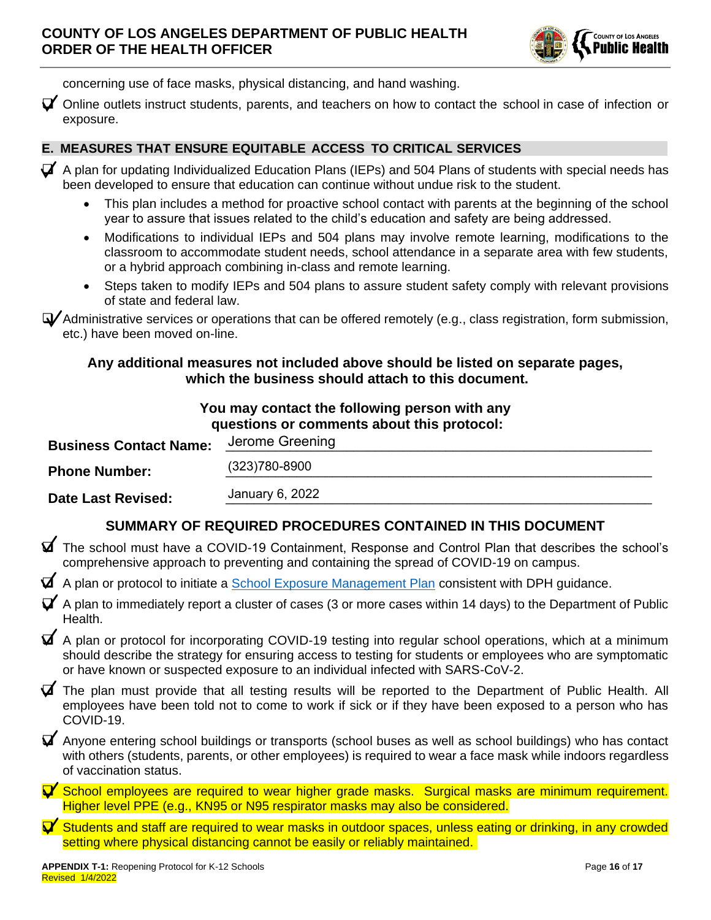

concerning use of face masks, physical distancing, and hand washing.

 $\blacktriangledown$  Online outlets instruct students, parents, and teachers on how to contact the school in case of infection or exposure.

### **E. MEASURES THAT ENSURE EQUITABLE ACCESS TO CRITICAL SERVICES**

- $\triangledown$  A plan for updating Individualized Education Plans (IEPs) and 504 Plans of students with special needs has been developed to ensure that education can continue without undue risk to the student.
	- This plan includes a method for proactive school contact with parents at the beginning of the school year to assure that issues related to the child's education and safety are being addressed.
	- Modifications to individual IEPs and 504 plans may involve remote learning, modifications to the classroom to accommodate student needs, school attendance in a separate area with few students, or a hybrid approach combining in-class and remote learning.
	- Steps taken to modify IEPs and 504 plans to assure student safety comply with relevant provisions of state and federal law.

❑ Administrative services or operations that can be offered remotely (e.g., class registration, form submission, etc.) have been moved on-line.

### **Any additional measures not included above should be listed on separate pages, which the business should attach to this document.**

| You may contact the following person with any<br>questions or comments about this protocol: |                 |  |  |  |
|---------------------------------------------------------------------------------------------|-----------------|--|--|--|
| <b>Business Contact Name:</b>                                                               | Jerome Greening |  |  |  |
| <b>Phone Number:</b>                                                                        | (323) 780-8900  |  |  |  |
| Date Last Revised:                                                                          | January 6, 2022 |  |  |  |

# **SUMMARY OF REQUIRED PROCEDURES CONTAINED IN THIS DOCUMENT**

- ❑ The school must have a COVID-19 Containment, Response and Control Plan that describes the school's comprehensive approach to preventing and containing the spread of COVID-19 on campus.
- $\blacktriangledown$  A plan or protocol to initiate a [School Exposure Management Plan](http://www.ph.lacounty.gov/media/Coronavirus/docs/protocols/ExposureManagementPlan_K12Schools.pdf) consistent with DPH guidance.
- $\blacktriangledown$  A plan to immediately report a cluster of cases (3 or more cases within 14 days) to the Department of Public Health.
- ❑ A plan or protocol for incorporating COVID-19 testing into regular school operations, which at a minimum should describe the strategy for ensuring access to testing for students or employees who are symptomatic or have known or suspected exposure to an individual infected with SARS-CoV-2.
- $\blacktriangledown$  The plan must provide that all testing results will be reported to the Department of Public Health. All employees have been told not to come to work if sick or if they have been exposed to a person who has COVID-19.
- $\blacktriangledown$  Anyone entering school buildings or transports (school buses as well as school buildings) who has contact with others (students, parents, or other employees) is required to wear a face mask while indoors regardless of vaccination status.
- ❑ School employees are required to wear higher grade masks. Surgical masks are minimum requirement. Higher level PPE (e.g., KN95 or N95 respirator masks may also be considered.
- ❑ Students and staff are required to wear masks in outdoor spaces, unless eating or drinking, in any crowded setting where physical distancing cannot be easily or reliably maintained.